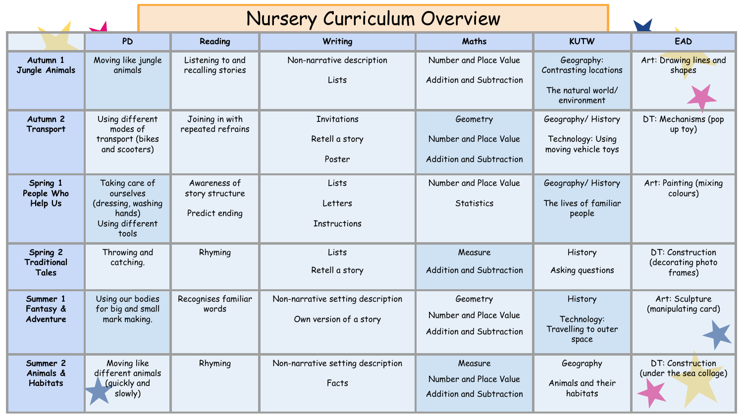|                                          |                                                                                          |                                                   | <b>Nursery Curriculum Overview</b>                          |                                                                                                                                |                                                               |                                                  |
|------------------------------------------|------------------------------------------------------------------------------------------|---------------------------------------------------|-------------------------------------------------------------|--------------------------------------------------------------------------------------------------------------------------------|---------------------------------------------------------------|--------------------------------------------------|
|                                          | <b>PD</b>                                                                                | Reading                                           | Writing                                                     | Maths                                                                                                                          | <b>KUTW</b>                                                   | EAD                                              |
| Autumn 1<br>Jungle Animals               | Moving like jungle<br>animals                                                            | Listening to and<br>recalling stories             | Non-narrative description<br>Lists                          | Number and Place Value<br>Geography:<br>Contrasting locations<br>Addition and Subtraction<br>The natural world/<br>environment |                                                               | Art: Drawing lines and<br>shapes                 |
| Autumn <sub>2</sub><br>Transport         | Using different<br>modes of<br>transport (bikes<br>and scooters)                         | Joining in with<br>repeated refrains              | <b>Invitations</b><br>Retell a story<br>Poster              | Geometry<br>Number and Place Value<br>Addition and Subtraction                                                                 | Geography/History<br>Technology: Using<br>moving vehicle toys | DT: Mechanisms (pop<br>$up$ toy)                 |
| Spring 1<br>People Who<br>Help Us        | Taking care of<br>ourselves<br>(dressing, washing)<br>hands)<br>Using different<br>tools | Awareness of<br>story structure<br>Predict ending | Lists<br>Letters<br><b>Instructions</b>                     | Number and Place Value<br>Statistics                                                                                           | Geography/History<br>The lives of familiar<br>people          | Art: Painting (mixing<br>colours)                |
| Spring 2<br><b>Traditional</b><br>Tales  | Throwing and<br>catching.                                                                | Rhyming                                           | Lists<br>Retell a story                                     | Measure<br>Addition and Subtraction                                                                                            | History<br>Asking questions                                   | DT: Construction<br>(decorating photo<br>frames) |
| Summer 1<br>Fantasy &<br>Adventure       | Using our bodies<br>for big and small<br>mark making.                                    | Recognises familiar<br>words                      | Non-narrative setting description<br>Own version of a story | Geometry<br>Number and Place Value<br>Addition and Subtraction                                                                 | History<br>Technology:<br>Travelling to outer<br>space        | Art: Sculpture<br>(manipulating card)            |
| Summer 2<br>Animals &<br><b>Habitats</b> | Moving like<br>different animals<br>(quickly and<br>slowly)                              | Rhyming                                           | Non-narrative setting description<br>Facts                  | Measure<br>Number and Place Value<br>Addition and Subtraction                                                                  | Geography<br>Animals and their<br>habitats                    | DT: Construction<br>(under the sea collage)      |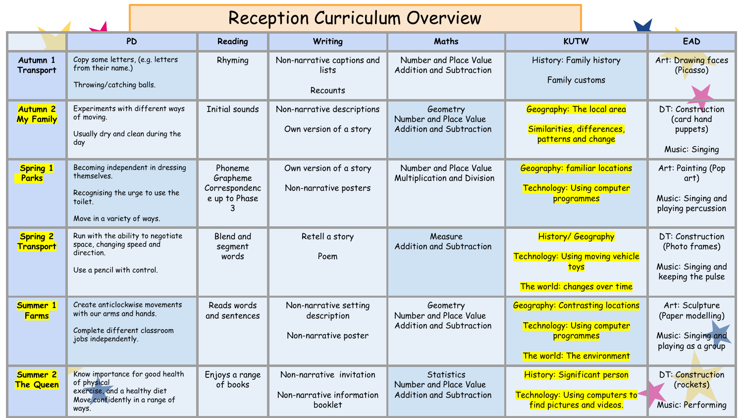|                                     |                                                                                                                             |                                                       | <b>Reception Curriculum Overview</b>                             |                                                                         |                                                                                                                          |  |                                                                                 |  |                                                                        |
|-------------------------------------|-----------------------------------------------------------------------------------------------------------------------------|-------------------------------------------------------|------------------------------------------------------------------|-------------------------------------------------------------------------|--------------------------------------------------------------------------------------------------------------------------|--|---------------------------------------------------------------------------------|--|------------------------------------------------------------------------|
|                                     | <b>PD</b>                                                                                                                   | Reading                                               | Writing                                                          | <b>Maths</b>                                                            | <b>KUTW</b>                                                                                                              |  | EAD                                                                             |  |                                                                        |
| Autumn 1<br>Transport               | Copy some letters, (e.g. letters<br>from their name.)<br>Throwing/catching balls.                                           | Rhyming                                               | Non-narrative captions and<br>lists<br>Recounts                  | Number and Place Value<br>Addition and Subtraction                      | History: Family history<br>Family customs                                                                                |  | <b>Art: Drawing faces</b><br>(Picasso)                                          |  |                                                                        |
| <b>Autumn 2</b><br><b>My Family</b> | Experiments with different ways<br>of moving.<br>Usually dry and clean during the<br>day                                    | <b>Initial sounds</b>                                 | Non-narrative descriptions<br>Own version of a story             | Geometry<br>Number and Place Value<br>Addition and Subtraction          | <b>Geography: The local area</b><br>Similarities, differences,<br>patterns and change                                    |  | DT: Construction<br>(card hand<br>puppets)<br>Music: Singing                    |  |                                                                        |
| <b>Spring 1</b><br><b>Parks</b>     | Becoming independent in dressing<br>themselves.<br>Recognising the urge to use the<br>toilet.<br>Move in a variety of ways. | Phoneme<br>Grapheme<br>Correspondenc<br>e up to Phase | Own version of a story<br>Non-narrative posters                  | Number and Place Value<br>Multiplication and Division                   | <b>Geography: familiar locations</b><br><b>Technology: Using computer</b><br>programmes                                  |  |                                                                                 |  | Art: Painting (Pop<br>art)<br>Music: Singing and<br>playing percussion |
| <b>Spring 2</b><br><b>Transport</b> | Run with the ability to negotiate<br>space, changing speed and<br>direction.<br>Use a pencil with control.                  | Blend and<br>segment<br>words                         | Retell a story<br>Poem                                           | Measure<br>Addition and Subtraction                                     | <b>History/ Geography</b><br>Technology: Using moving vehicle<br>toys<br>The world: changes over time                    |  | DT: Construction<br>(Photo frames)<br>Music: Singing and<br>keeping the pulse   |  |                                                                        |
| Summer 1<br><b>Farms</b>            | Create anticlockwise movements<br>with our arms and hands.<br>Complete different classroom<br>jobs independently.           | Reads words<br>and sentences                          | Non-narrative setting<br>description<br>Non-narrative poster     | Geometry<br>Number and Place Value<br>Addition and Subtraction          | <b>Geography: Contrasting locations</b><br><b>Technology: Using computer</b><br>programmes<br>The world: The environment |  | Art: Sculpture<br>(Paper modelling)<br>Music: Singing and<br>playing as a group |  |                                                                        |
| Summer 2<br><b>The Queen</b>        | Know importance for good health<br>of physical<br>exercise, and a healthy diet<br>Move confidently in a range of<br>ways.   | Enjoys a range<br>of books                            | Non-narrative invitation<br>Non-narrative information<br>booklet | <b>Statistics</b><br>Number and Place Value<br>Addition and Subtraction | History: Significant person<br>Technology: Using computers to<br>find pictures and videos.                               |  | DT: Construction<br>(rockets)<br>Music: Performing                              |  |                                                                        |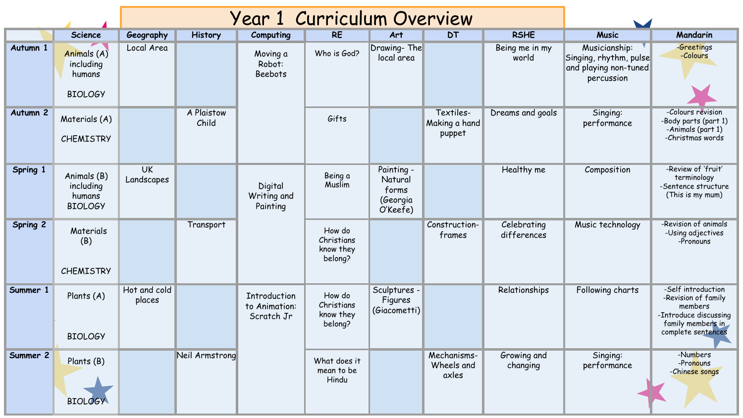|                     |                                                      |                        |                            | <b>Year 1 Curriculum Overview</b>                  |                                              |                                                        |                                      |                            |                                                                                |                                                                                                                          |  |
|---------------------|------------------------------------------------------|------------------------|----------------------------|----------------------------------------------------|----------------------------------------------|--------------------------------------------------------|--------------------------------------|----------------------------|--------------------------------------------------------------------------------|--------------------------------------------------------------------------------------------------------------------------|--|
|                     | <b>Science</b>                                       | Geography              | <b>History</b>             | Computing                                          | <b>RE</b>                                    | Art                                                    | <b>DT</b>                            | <b>RSHE</b>                | <b>Music</b>                                                                   | <b>Mandarin</b>                                                                                                          |  |
| Autumn 1            | Animals (A)<br>including<br>humans<br><b>BIOLOGY</b> | Local Area             |                            | Moving a<br>Robot:<br><b>Beebots</b>               | Who is God?                                  | Drawing-The<br>local area                              |                                      | Being me in my<br>world    | Musicianship:<br>Singing, rhythm, pulse<br>and playing non-tuned<br>percussion | -Greetings<br>-Colours                                                                                                   |  |
| Autumn <sub>2</sub> | Materials (A)<br><b>CHEMISTRY</b>                    |                        | <b>A Plaistow</b><br>Child |                                                    | Gifts                                        |                                                        | Textiles-<br>Making a hand<br>puppet | Dreams and goals           | Singing:<br>performance                                                        | -Colours revision<br>-Body parts (part 1)<br>-Animals (part 1)<br>-Christmas words                                       |  |
| Spring 1            | Animals (B)<br>including<br>humans<br><b>BIOLOGY</b> | UK<br>Landscapes       |                            | Digital<br>Writing and<br>Painting                 | Being a<br>Muslim                            | Painting -<br>Natural<br>forms<br>(Georgia<br>O'Keefe) |                                      | Healthy me                 | Composition                                                                    | -Review of 'fruit'<br>terminology<br>-Sentence structure<br>(This is my mum)                                             |  |
| Spring 2            | Materials<br>(B)<br><b>CHEMISTRY</b>                 |                        | Transport                  |                                                    | How do<br>Christians<br>know they<br>belong? |                                                        | Construction-<br>frames              | Celebrating<br>differences | Music technology                                                               | -Revision of animals<br>-Using adjectives<br>-Pronouns                                                                   |  |
| Summer 1            | Plants (A)<br><b>BIOLOGY</b>                         | Hot and cold<br>places |                            | <b>Introduction</b><br>to Animation:<br>Scratch Jr | How do<br>Christians<br>know they<br>belong? | Sculptures -<br>Figures<br>(Giacometti)                |                                      | Relationships              | Following charts                                                               | -Self introduction<br>-Revision of family<br>members<br>-Introduce discussing<br>family members in<br>complete sentences |  |
| Summer 2            | Plants (B)<br><b>BIOLOGY</b>                         |                        | Neil Armstrong             |                                                    | What does it<br>mean to be<br>Hindu          |                                                        | Mechanisms-<br>Wheels and<br>axles   | Growing and<br>changing    | Singing:<br>performance                                                        | -Numbers<br>-Pronouns<br>-Chinese songs                                                                                  |  |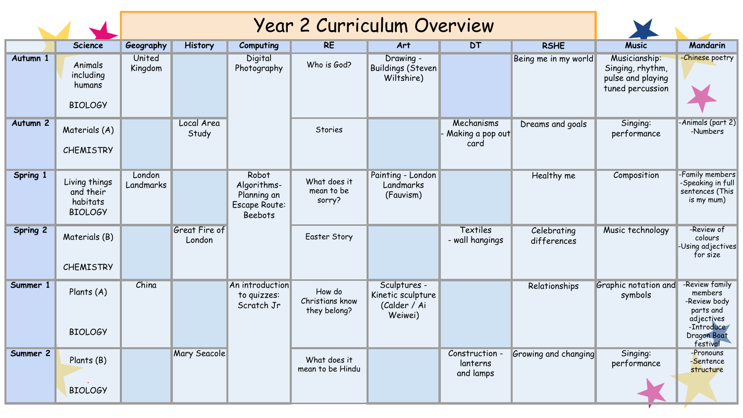|                     |                                                          |                     |                         |                                                                        | <b>Year 2 Curriculum Overview</b>         |                                                              |                                         |                            |                                                                            |                                                                                    |
|---------------------|----------------------------------------------------------|---------------------|-------------------------|------------------------------------------------------------------------|-------------------------------------------|--------------------------------------------------------------|-----------------------------------------|----------------------------|----------------------------------------------------------------------------|------------------------------------------------------------------------------------|
|                     | <b>Science</b>                                           | Geography           | <b>History</b>          | Computing                                                              | <b>RE</b>                                 | Art                                                          | <b>DT</b>                               | <b>RSHE</b>                | <b>Music</b>                                                               | <b>Mandarin</b>                                                                    |
| Autumn 1            | Animals<br>including<br>humans<br><b>BIOLOGY</b>         | United<br>Kingdom   |                         | <b>Digital</b><br>Photography                                          | Who is God?                               | Drawing -<br><b>Buildings (Steven</b><br>Wiltshire)          |                                         | Being me in my world       | Musicianship:<br>Singing, rhythm,<br>pulse and playing<br>tuned percussion | -Chinese poetry                                                                    |
| Autumn <sub>2</sub> | Materials (A)<br><b>CHEMISTRY</b>                        |                     | Local Area<br>Study     |                                                                        | <b>Stories</b>                            |                                                              | Mechanisms<br>Making a pop out<br>card  | Dreams and goals           | Singing:<br>performance                                                    | -Animals (part 2)<br>-Numbers                                                      |
| Spring 1            | Living things<br>and their<br>habitats<br><b>BIOLOGY</b> | London<br>Landmarks |                         | Robot<br>Algorithms-<br>Planning an<br>Escape Route:<br><b>Beebots</b> | What does it<br>mean to be<br>sorry?      | Painting - London<br>Landmarks<br>(Fauvism)                  |                                         | Healthy me                 | Composition                                                                | -Family members<br>-Speaking in full<br>sentences (This<br>is my mum)              |
| Spring 2            | Materials (B)<br><b>CHEMISTRY</b>                        |                     | Great Fire of<br>London |                                                                        | Easter Story                              |                                                              | <b>Textiles</b><br>- wall hangings      | Celebrating<br>differences | Music technology                                                           | -Review of<br>colours<br>-Using adjectives<br>for size                             |
| Summer 1            | Plants (A)                                               | China               |                         | An introduction<br>to quizzes:<br>Scratch Jr                           | How do<br>Christians know<br>they belong? | Sculptures -<br>Kinetic sculpture<br>(Calder / Ai<br>Weiwei) |                                         | Relationships              | Graphic notation and<br>symbols                                            | -Review family<br>members<br>-Review body<br>parts and<br>adjectives<br>-Introduce |
|                     | <b>BIOLOGY</b>                                           |                     |                         |                                                                        |                                           |                                                              |                                         |                            |                                                                            | Dragon Boat<br>festival                                                            |
| Summer 2            | Plants (B)<br><b>BIOLOGY</b>                             |                     | <b>Mary Seacole</b>     |                                                                        | What does it<br>mean to be Hindu          |                                                              | Construction -<br>lanterns<br>and lamps | Growing and changing       | Singing:<br>performance                                                    | -Pronouns<br>-Sentence<br>structure                                                |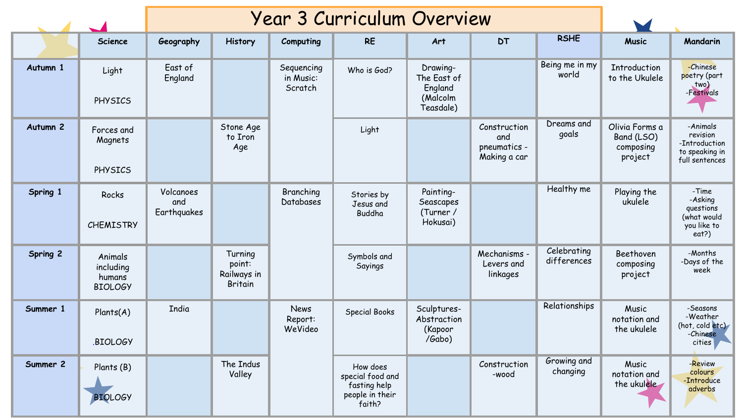|                     |                                                  |                                 |                                                    |                                    | <b>Year 3 Curriculum Overview</b>                                         |                                                             |                                                     |                            |                                                      |                                                                           |
|---------------------|--------------------------------------------------|---------------------------------|----------------------------------------------------|------------------------------------|---------------------------------------------------------------------------|-------------------------------------------------------------|-----------------------------------------------------|----------------------------|------------------------------------------------------|---------------------------------------------------------------------------|
|                     | <b>Science</b>                                   | Geography                       | History                                            | Computing                          | <b>RE</b>                                                                 | Art                                                         | <b>DT</b>                                           | <b>RSHE</b>                | <b>Music</b>                                         | Mandarin                                                                  |
| Autumn 1            | Light<br>PHYSICS                                 | East of<br>England              |                                                    | Sequencing<br>in Music:<br>Scratch | Who is God?                                                               | Drawing-<br>The East of<br>England<br>(Malcolm<br>Teasdale) |                                                     | Being me in my<br>world    | <b>Introduction</b><br>to the Ukulele                | -Chinese<br>poetry (part<br>.two)<br>-Festivals                           |
| Autumn <sub>2</sub> | Forces and<br>Magnets<br>PHYSICS                 |                                 | Stone Age<br>to Iron<br>Age                        |                                    | Light                                                                     |                                                             | Construction<br>and<br>pneumatics -<br>Making a car | Dreams and<br>goals        | Olivia Forms a<br>Band (LSO)<br>composing<br>project | -Animals<br>revision<br>-Introduction<br>to speaking in<br>full sentences |
| Spring 1            | Rocks<br><b>CHEMISTRY</b>                        | Volcanoes<br>and<br>Earthquakes |                                                    | Branching<br>Databases             | Stories by<br>Jesus and<br>Buddha                                         | Painting-<br>Seascapes<br>(Turner /<br>Hokusai)             |                                                     | Healthy me                 | Playing the<br>ukulele                               | -Time<br>-Asking<br>questions<br>(what would<br>you like to<br>eat?)      |
| Spring 2            | Animals<br>including<br>humans<br><b>BIOLOGY</b> |                                 | Turning<br>point:<br>Railways in<br><b>Britain</b> |                                    | Symbols and<br>Sayings                                                    |                                                             | Mechanisms -<br>Levers and<br>linkages              | Celebrating<br>differences | Beethoven<br>composing<br>project                    | -Months<br>-Days of the<br>week                                           |
| Summer 1            | Plants(A)<br><b>BIOLOGY</b>                      | <b>India</b>                    |                                                    | <b>News</b><br>Report:<br>WeVideo  | Special Books                                                             | Sculptures-<br>Abstraction<br>(Kapoor<br>/Gabo)             |                                                     | Relationships              | Music<br>notation and<br>the ukulele                 | -Seasons<br>-Weather<br>(hot, cold etc)<br>-Chinese<br>cities             |
| Summer 2            | Plants (B)<br><b>BIOLOGY</b>                     |                                 | The Indus<br>Valley                                |                                    | How does<br>special food and<br>fasting help<br>people in their<br>faith? |                                                             | Construction<br>-wood                               | Growing and<br>changing    | Music<br>notation and<br>the ukulele                 | -Review<br>colours<br>-Introduce<br>adverbs                               |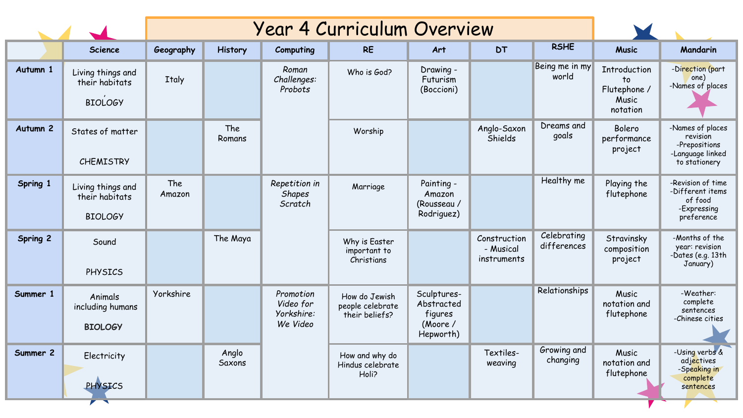|                     |                                                       |               |                 |                                                  | <b>Year 4 Curriculum Overview</b>                   |                                                              |                                          |                            |                                                                |                                                                                    |  |  |
|---------------------|-------------------------------------------------------|---------------|-----------------|--------------------------------------------------|-----------------------------------------------------|--------------------------------------------------------------|------------------------------------------|----------------------------|----------------------------------------------------------------|------------------------------------------------------------------------------------|--|--|
|                     | <b>Science</b>                                        | Geography     | <b>History</b>  | Computing                                        | <b>RE</b>                                           | Art                                                          | <b>DT</b>                                | <b>RSHE</b>                | <b>Music</b>                                                   | <b>Mandarin</b>                                                                    |  |  |
| Autumn 1            | Living things and<br>their habitats<br><b>BIOLOGY</b> | <b>Italy</b>  |                 | Roman<br>Challenges:<br>Probots                  | Who is God?                                         | Drawing -<br>Futurism<br>(Boccioni)                          |                                          | Being me in my<br>world    | <b>Introduction</b><br>to<br>Flutephone /<br>Music<br>notation | -Direction (part<br>one)<br>-Names of places                                       |  |  |
| Autumn <sub>2</sub> | States of matter<br><b>CHEMISTRY</b>                  |               | The<br>Romans   |                                                  | Worship                                             |                                                              | Anglo-Saxon<br>Shields                   | Dreams and<br>goals        | Bolero<br>performance<br>project                               | -Names of places<br>revision<br>-Prepositions<br>-Language linked<br>to stationery |  |  |
| Spring 1            | Living things and<br>their habitats<br><b>BIOLOGY</b> | The<br>Amazon |                 | Repetition in<br><b>Shapes</b><br>Scratch        | Marriage                                            | Painting -<br>Amazon<br>(Rousseau /<br>Rodriguez)            |                                          | Healthy me                 | Playing the<br>flutephone                                      | -Revision of time<br>-Different items<br>of food<br>-Expressing<br>preference      |  |  |
| Spring 2            | Sound<br>PHYSICS                                      |               | The Maya        |                                                  | Why is Easter<br>important to<br>Christians         |                                                              | Construction<br>- Musical<br>instruments | Celebrating<br>differences | Stravinsky<br>composition<br>project                           | -Months of the<br>year: revision<br>-Dates (e.g. 13th<br>January)                  |  |  |
| Summer 1            | Animals<br>including humans<br><b>BIOLOGY</b>         | Yorkshire     |                 | Promotion<br>Video for<br>Yorkshire:<br>We Video | How do Jewish<br>people celebrate<br>their beliefs? | Sculptures-<br>Abstracted<br>figures<br>(Moore/<br>Hepworth) |                                          | Relationships              | Music<br>notation and<br>flutephone                            | -Weather:<br>complete<br>sentences<br>-Chinese cities                              |  |  |
| Summer 2            | Electricity<br>PHYSICS                                |               | Anglo<br>Saxons |                                                  | How and why do<br>Hindus celebrate<br>Holi?         |                                                              | Textiles-<br>weaving                     | Growing and<br>changing    | Music<br>notation and<br>flutephone                            | -Using verbs &<br>adjectives<br>-Speaking in<br>complete<br>sentences              |  |  |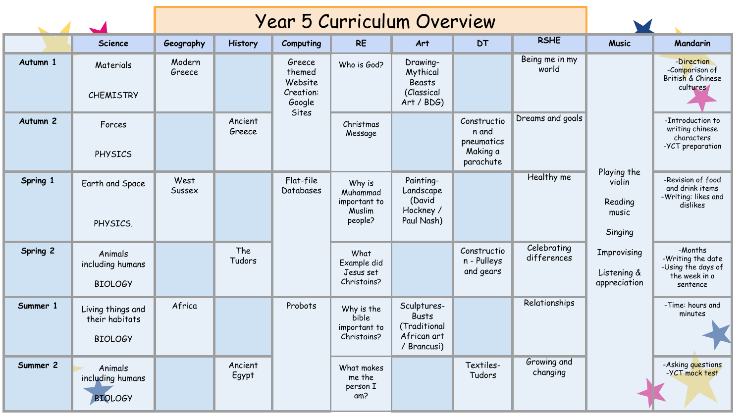|                     |                                                |                  |                   |                                                             |                                                           | <b>Year 5 Curriculum Overview</b>                                         |                                                             |                            |                                                      |                                                                                 |
|---------------------|------------------------------------------------|------------------|-------------------|-------------------------------------------------------------|-----------------------------------------------------------|---------------------------------------------------------------------------|-------------------------------------------------------------|----------------------------|------------------------------------------------------|---------------------------------------------------------------------------------|
|                     | <b>Science</b>                                 | Geography        | <b>History</b>    | Computing                                                   | <b>RE</b>                                                 | Art                                                                       | <b>DT</b>                                                   | <b>RSHE</b>                | <b>Music</b>                                         | Mandarin                                                                        |
| Autumn 1            | Materials<br><b>CHEMISTRY</b>                  | Modern<br>Greece |                   | Greece<br>themed<br>Website<br>Creation:<br>Google<br>Sites | Who is God?                                               | Drawing-<br>Mythical<br><b>Beasts</b><br>(Classical<br>Art / BDG)         |                                                             | Being me in my<br>world    |                                                      | -Direction<br>-Comparison of<br>British & Chinese<br>cultures                   |
| Autumn <sub>2</sub> | Forces<br>PHYSICS                              |                  | Ancient<br>Greece |                                                             | Christmas<br>Message                                      |                                                                           | Constructio<br>n and<br>pneumatics<br>Making a<br>parachute | Dreams and goals           |                                                      | -Introduction to<br>writing chinese<br>characters<br>-YCT preparation           |
| Spring 1            | Earth and Space<br>PHYSICS.                    | West<br>Sussex   |                   | Flat-file<br>Databases                                      | Why is<br>Muhammad<br>important to<br>Muslim<br>people?   | Painting-<br>Landscape<br>(David<br>Hockney /<br>Paul Nash)               |                                                             | Healthy me                 | Playing the<br>violin<br>Reading<br>music<br>Singing | -Revision of food<br>and drink items<br>-Writing: likes and<br>dislikes         |
| Spring 2            | Animals<br>including humans<br>BIOLOGY         |                  | The<br>Tudors     |                                                             | What<br>Example did<br>Jesus set<br>Christains?           |                                                                           | Constructio<br>n - Pulleys<br>and gears                     | Celebrating<br>differences | <b>Improvising</b><br>Listening &<br>appreciation    | -Months<br>-Writing the date<br>-Using the days of<br>the week in a<br>sentence |
| Summer 1            | Living things and<br>their habitats<br>BIOLOGY | Africa           |                   | Probots                                                     | Why is the<br><b>bible</b><br>important to<br>Christains? | Sculptures-<br><b>Busts</b><br>(Traditional<br>African art<br>/ Brancusi) |                                                             | Relationships              |                                                      | -Time: hours and<br>minutes                                                     |
| Summer 2            | Animals<br>including humans<br><b>BIOLOGY</b>  |                  | Ancient<br>Egypt  |                                                             | What makes<br>me the<br>person I<br>am?                   |                                                                           | Textiles-<br>Tudors                                         | Growing and<br>changing    |                                                      | -Asking questions<br>-YCT mock test                                             |